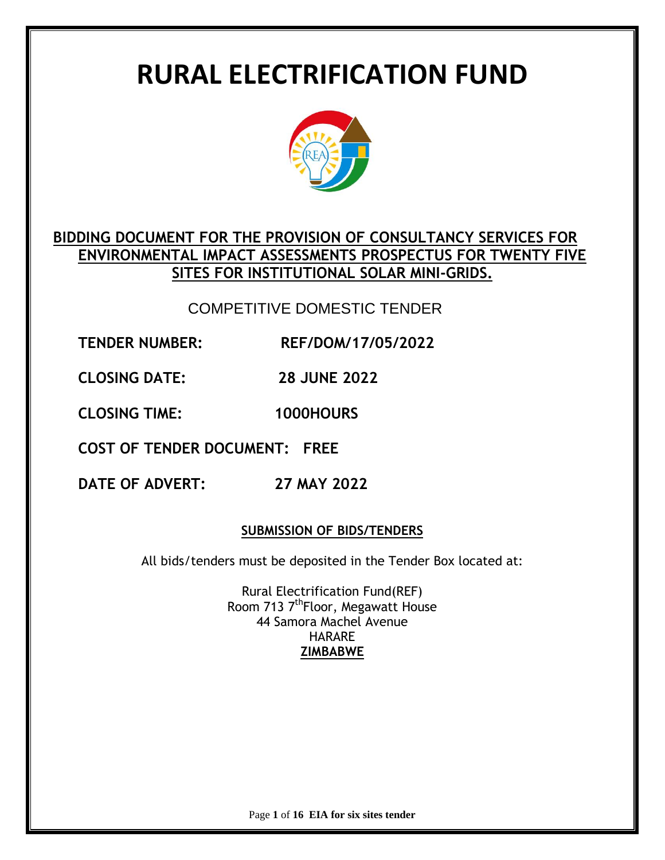# **RURAL ELECTRIFICATION FUND**



## **BIDDING DOCUMENT FOR THE PROVISION OF CONSULTANCY SERVICES FOR ENVIRONMENTAL IMPACT ASSESSMENTS PROSPECTUS FOR TWENTY FIVE SITES FOR INSTITUTIONAL SOLAR MINI-GRIDS.**

## COMPETITIVE DOMESTIC TENDER

**TENDER NUMBER: REF/DOM/17/05/2022**

**CLOSING DATE: 28 JUNE 2022** 

**CLOSING TIME: 1000HOURS**

**COST OF TENDER DOCUMENT: FREE**

**DATE OF ADVERT: 27 MAY 2022**

## **SUBMISSION OF BIDS/TENDERS**

All bids/tenders must be deposited in the Tender Box located at:

Rural Electrification Fund(REF) Room 713 7<sup>th</sup>Floor, Megawatt House 44 Samora Machel Avenue HARARE **ZIMBABWE**

Page **1** of **16 EIA for six sites tender**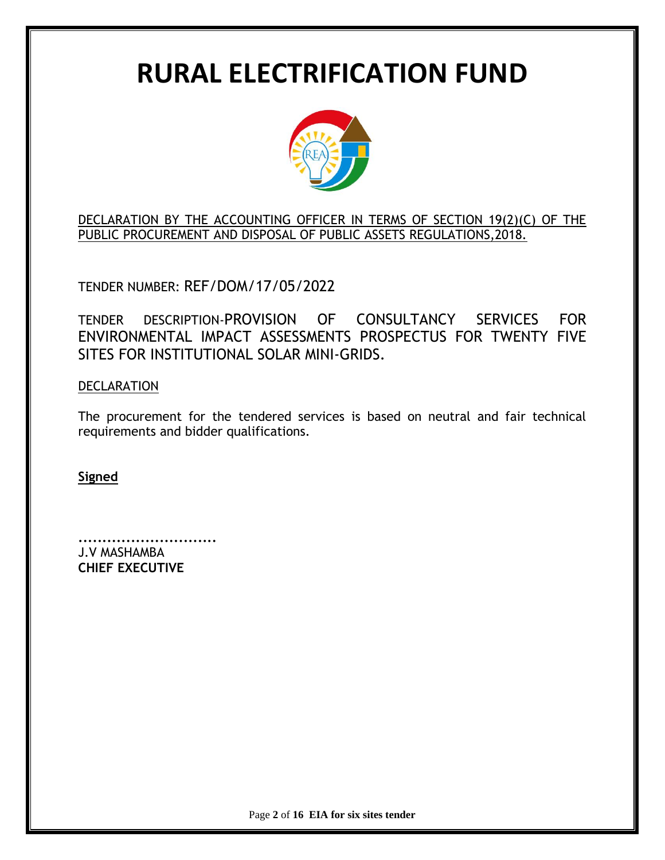# **RURAL ELECTRIFICATION FUND**



DECLARATION BY THE ACCOUNTING OFFICER IN TERMS OF SECTION 19(2)(C) OF THE PUBLIC PROCUREMENT AND DISPOSAL OF PUBLIC ASSETS REGULATIONS,2018.

TENDER NUMBER: REF/DOM/17/05/2022

TENDER DESCRIPTION-PROVISION OF CONSULTANCY SERVICES FOR ENVIRONMENTAL IMPACT ASSESSMENTS PROSPECTUS FOR TWENTY FIVE SITES FOR INSTITUTIONAL SOLAR MINI-GRIDS.

DECLARATION

The procurement for the tendered services is based on neutral and fair technical requirements and bidder qualifications.

**Signed**

**.............................** J.V MASHAMBA **CHIEF EXECUTIVE**

Page **2** of **16 EIA for six sites tender**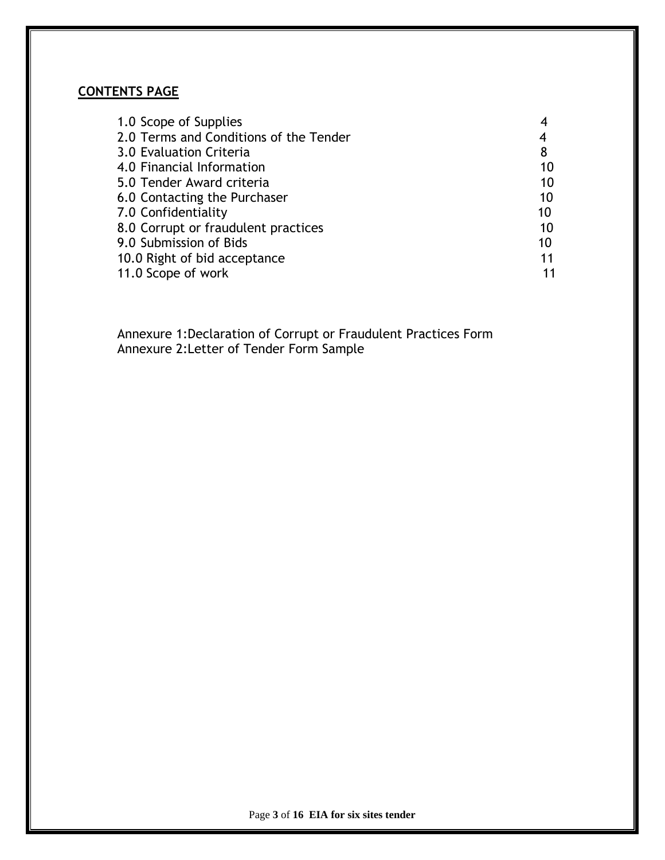## **CONTENTS PAGE**

| 1.0 Scope of Supplies                  |    |
|----------------------------------------|----|
| 2.0 Terms and Conditions of the Tender |    |
| 3.0 Evaluation Criteria                | 8  |
| 4.0 Financial Information              | 10 |
| 5.0 Tender Award criteria              | 10 |
| 6.0 Contacting the Purchaser           | 10 |
| 7.0 Confidentiality                    | 10 |
| 8.0 Corrupt or fraudulent practices    | 10 |
| 9.0 Submission of Bids                 | 10 |
| 10.0 Right of bid acceptance           | 11 |
| 11.0 Scope of work                     |    |

 Annexure 1:Declaration of Corrupt or Fraudulent Practices Form Annexure 2:Letter of Tender Form Sample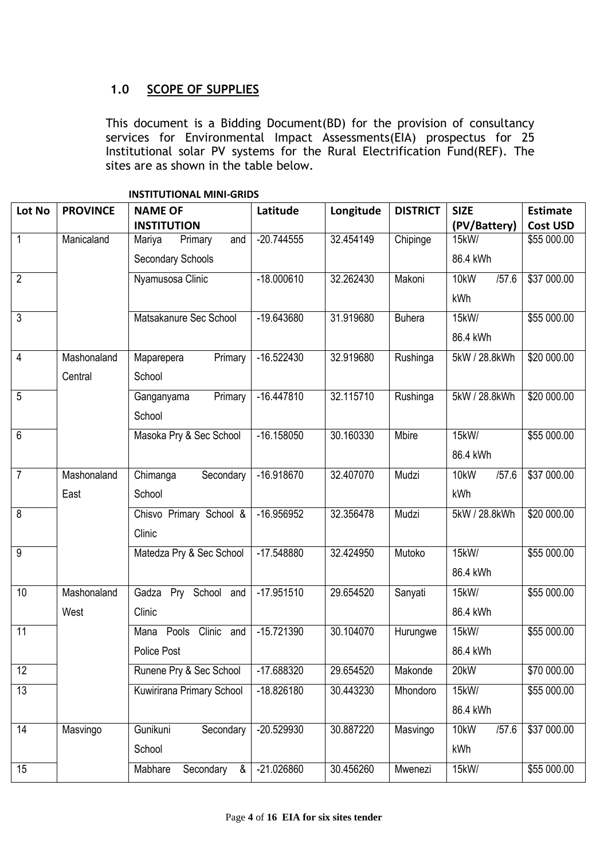## **1.0 SCOPE OF SUPPLIES**

This document is a Bidding Document(BD) for the provision of consultancy services for Environmental Impact Assessments(EIA) prospectus for 25 Institutional solar PV systems for the Rural Electrification Fund(REF). The sites are as shown in the table below.

| Lot No          | <b>PROVINCE</b> | <b>NAME OF</b>                 | Latitude     | Longitude | <b>DISTRICT</b> | <b>SIZE</b>   | <b>Estimate</b> |
|-----------------|-----------------|--------------------------------|--------------|-----------|-----------------|---------------|-----------------|
|                 |                 | <b>INSTITUTION</b>             |              |           |                 | (PV/Battery)  | <b>Cost USD</b> |
| $\overline{1}$  | Manicaland      | Mariya<br>Primary<br>and       | $-20.744555$ | 32.454149 | Chipinge        | 15kW/         | \$55 000.00     |
|                 |                 | <b>Secondary Schools</b>       |              |           |                 | 86.4 kWh      |                 |
| $\overline{2}$  |                 | Nyamusosa Clinic               | $-18.000610$ | 32.262430 | Makoni          | /57.6<br>10kW | \$37 000.00     |
|                 |                 |                                |              |           |                 | kWh           |                 |
| $\overline{3}$  |                 | Matsakanure Sec School         | $-19.643680$ | 31.919680 | <b>Buhera</b>   | 15kW/         | \$55 000.00     |
|                 |                 |                                |              |           |                 | 86.4 kWh      |                 |
| $\overline{4}$  | Mashonaland     | Primary<br>Maparepera          | $-16.522430$ | 32.919680 | Rushinga        | 5kW / 28.8kWh | \$20 000.00     |
|                 | Central         | School                         |              |           |                 |               |                 |
| $\overline{5}$  |                 | Primary<br>Ganganyama          | $-16.447810$ | 32.115710 | Rushinga        | 5kW / 28.8kWh | \$20 000.00     |
|                 |                 | School                         |              |           |                 |               |                 |
| 6               |                 | Masoka Pry & Sec School        | $-16.158050$ | 30.160330 | Mbire           | 15kW/         | \$55 000.00     |
|                 |                 |                                |              |           |                 | 86.4 kWh      |                 |
| $\overline{7}$  | Mashonaland     | Chimanga<br>Secondary          | $-16.918670$ | 32.407070 | Mudzi           | 10kW<br>/57.6 | \$37 000.00     |
|                 | East            | School                         |              |           |                 | kWh           |                 |
| $\overline{8}$  |                 | Chisvo Primary School &        | -16.956952   | 32.356478 | Mudzi           | 5kW / 28.8kWh | \$20 000.00     |
|                 |                 | Clinic                         |              |           |                 |               |                 |
| $\overline{9}$  |                 | Matedza Pry & Sec School       | -17.548880   | 32.424950 | Mutoko          | 15kW/         | \$55 000.00     |
|                 |                 |                                |              |           |                 | 86.4 kWh      |                 |
| 10              | Mashonaland     | Pry School and<br>Gadza        | $-17.951510$ | 29.654520 | Sanyati         | 15kW/         | \$55 000.00     |
|                 | West            | Clinic                         |              |           |                 | 86.4 kWh      |                 |
| 11              |                 | Clinic<br>Pools<br>and<br>Mana | $-15.721390$ | 30.104070 | Hurungwe        | 15kW/         | \$55 000.00     |
|                 |                 | <b>Police Post</b>             |              |           |                 | 86.4 kWh      |                 |
| $\overline{12}$ |                 | Runene Pry & Sec School        | -17.688320   | 29.654520 | Makonde         | 20kW          | \$70 000.00     |
| 13              |                 | Kuwirirana Primary School      | $-18.826180$ | 30.443230 | Mhondoro        | 15kW/         | \$55 000.00     |
|                 |                 |                                |              |           |                 | 86.4 kWh      |                 |
| $\overline{14}$ | Masvingo        | Gunikuni<br>Secondary          | -20.529930   | 30.887220 | Masvingo        | 10kW<br>/57.6 | \$37 000.00     |
|                 |                 | School                         |              |           |                 | kWh           |                 |
| 15              |                 | Mabhare<br>Secondary<br>&      | $-21.026860$ | 30.456260 | Mwenezi         | 15kW/         | \$55 000.00     |

**INSTITUTIONAL MINI-GRIDS**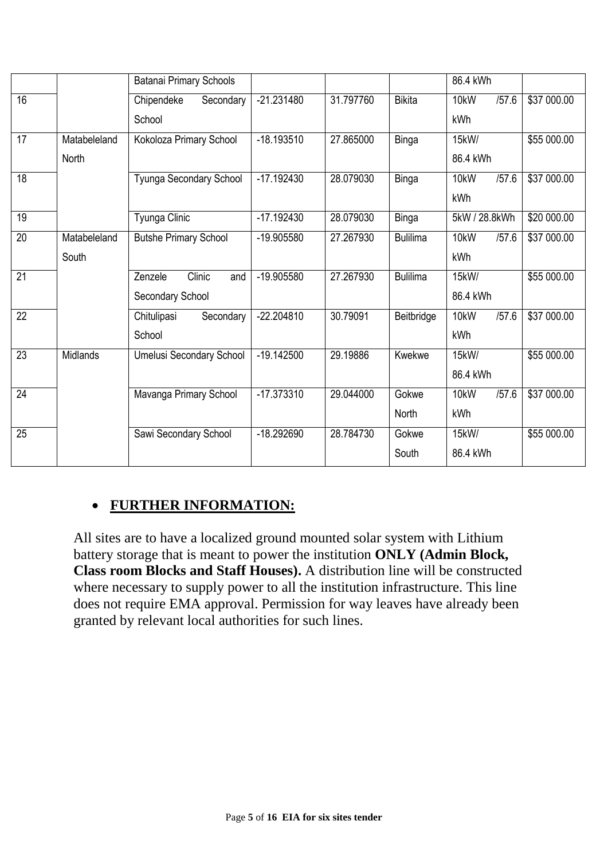|                 |                 | <b>Batanai Primary Schools</b>  |              |           |                 | 86.4 kWh      |             |
|-----------------|-----------------|---------------------------------|--------------|-----------|-----------------|---------------|-------------|
| $\overline{16}$ |                 | Chipendeke<br>Secondary         | $-21.231480$ | 31.797760 | <b>Bikita</b>   | /57.6<br>10kW | \$37 000.00 |
|                 |                 | School                          |              |           |                 | kWh           |             |
| 17              | Matabeleland    | Kokoloza Primary School         | $-18.193510$ | 27.865000 | <b>Binga</b>    | 15kW/         | \$55 000.00 |
|                 | North           |                                 |              |           |                 | 86.4 kWh      |             |
| 18              |                 | Tyunga Secondary School         | $-17.192430$ | 28.079030 | <b>Binga</b>    | /57.6<br>10kW | \$37 000.00 |
|                 |                 |                                 |              |           |                 | kWh           |             |
| 19              |                 | Tyunga Clinic                   | $-17.192430$ | 28.079030 | <b>Binga</b>    | 5kW / 28.8kWh | \$20 000.00 |
| 20              | Matabeleland    | <b>Butshe Primary School</b>    | -19.905580   | 27.267930 | <b>Bulilima</b> | 10kW<br>/57.6 | \$37 000.00 |
|                 | South           |                                 |              |           |                 | kWh           |             |
| $\overline{21}$ |                 | Clinic<br>Zenzele<br>and        | -19.905580   | 27.267930 | <b>Bulilima</b> | 15kW/         | \$55 000.00 |
|                 |                 | Secondary School                |              |           |                 | 86.4 kWh      |             |
| 22              |                 | Chitulipasi<br>Secondary        | $-22.204810$ | 30.79091  | Beitbridge      | 10kW<br>/57.6 | \$37 000.00 |
|                 |                 | School                          |              |           |                 | kWh           |             |
| $\overline{23}$ | <b>Midlands</b> | <b>Umelusi Secondary School</b> | $-19.142500$ | 29.19886  | Kwekwe          | 15kW/         | \$55 000.00 |
|                 |                 |                                 |              |           |                 | 86.4 kWh      |             |
| 24              |                 | Mavanga Primary School          | $-17.373310$ | 29.044000 | Gokwe           | /57.6<br>10kW | \$37 000.00 |
|                 |                 |                                 |              |           | North           | kWh           |             |
| $\overline{25}$ |                 | Sawi Secondary School           | $-18.292690$ | 28.784730 | Gokwe           | 15kW/         | \$55 000.00 |
|                 |                 |                                 |              |           | South           | 86.4 kWh      |             |

# **FURTHER INFORMATION:**

All sites are to have a localized ground mounted solar system with Lithium battery storage that is meant to power the institution **ONLY (Admin Block, Class room Blocks and Staff Houses).** A distribution line will be constructed where necessary to supply power to all the institution infrastructure. This line does not require EMA approval. Permission for way leaves have already been granted by relevant local authorities for such lines.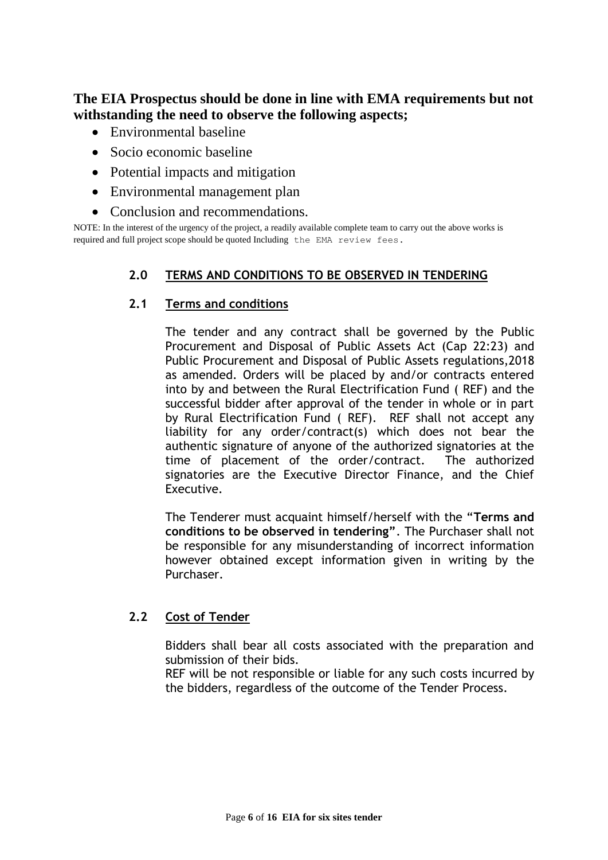## **The EIA Prospectus should be done in line with EMA requirements but not withstanding the need to observe the following aspects;**

- Environmental baseline
- Socio economic baseline
- Potential impacts and mitigation
- Environmental management plan
- Conclusion and recommendations.

NOTE: In the interest of the urgency of the project, a readily available complete team to carry out the above works is required and full project scope should be quoted Including the EMA review fees.

## **2.0 TERMS AND CONDITIONS TO BE OBSERVED IN TENDERING**

#### **2.1 Terms and conditions**

The tender and any contract shall be governed by the Public Procurement and Disposal of Public Assets Act (Cap 22:23) and Public Procurement and Disposal of Public Assets regulations,2018 as amended. Orders will be placed by and/or contracts entered into by and between the Rural Electrification Fund ( REF) and the successful bidder after approval of the tender in whole or in part by Rural Electrification Fund ( REF). REF shall not accept any liability for any order/contract(s) which does not bear the authentic signature of anyone of the authorized signatories at the time of placement of the order/contract. The authorized signatories are the Executive Director Finance, and the Chief Executive.

The Tenderer must acquaint himself/herself with the "**Terms and conditions to be observed in tendering"**. The Purchaser shall not be responsible for any misunderstanding of incorrect information however obtained except information given in writing by the Purchaser.

## **2.2 Cost of Tender**

Bidders shall bear all costs associated with the preparation and submission of their bids.

REF will be not responsible or liable for any such costs incurred by the bidders, regardless of the outcome of the Tender Process.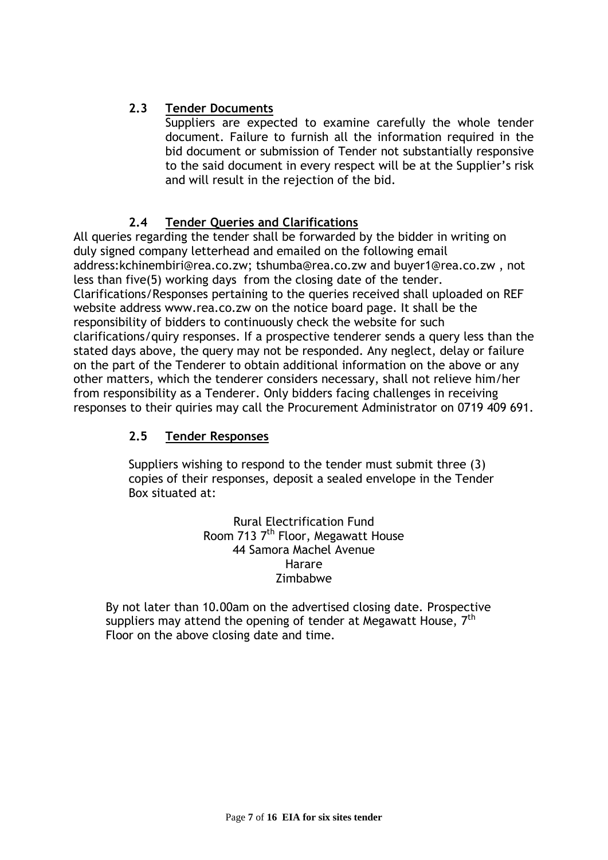## **2.3 Tender Documents**

Suppliers are expected to examine carefully the whole tender document. Failure to furnish all the information required in the bid document or submission of Tender not substantially responsive to the said document in every respect will be at the Supplier's risk and will result in the rejection of the bid.

## **2.4 Tender Queries and Clarifications**

All queries regarding the tender shall be forwarded by the bidder in writing on duly signed company letterhead and emailed on the following email address:kchinembiri@rea.co.zw; tshumba@rea.co.zw and buyer1@rea.co.zw , not less than five(5) working days from the closing date of the tender. Clarifications/Responses pertaining to the queries received shall uploaded on REF website address www.rea.co.zw on the notice board page. It shall be the responsibility of bidders to continuously check the website for such clarifications/quiry responses. If a prospective tenderer sends a query less than the stated days above, the query may not be responded. Any neglect, delay or failure on the part of the Tenderer to obtain additional information on the above or any other matters, which the tenderer considers necessary, shall not relieve him/her from responsibility as a Tenderer. Only bidders facing challenges in receiving responses to their quiries may call the Procurement Administrator on 0719 409 691.

## **2.5 Tender Responses**

Suppliers wishing to respond to the tender must submit three (3) copies of their responses, deposit a sealed envelope in the Tender Box situated at:

> Rural Electrification Fund Room 713 7<sup>th</sup> Floor, Megawatt House 44 Samora Machel Avenue Harare Zimbabwe

By not later than 10.00am on the advertised closing date. Prospective suppliers may attend the opening of tender at Megawatt House,  $7<sup>th</sup>$ Floor on the above closing date and time.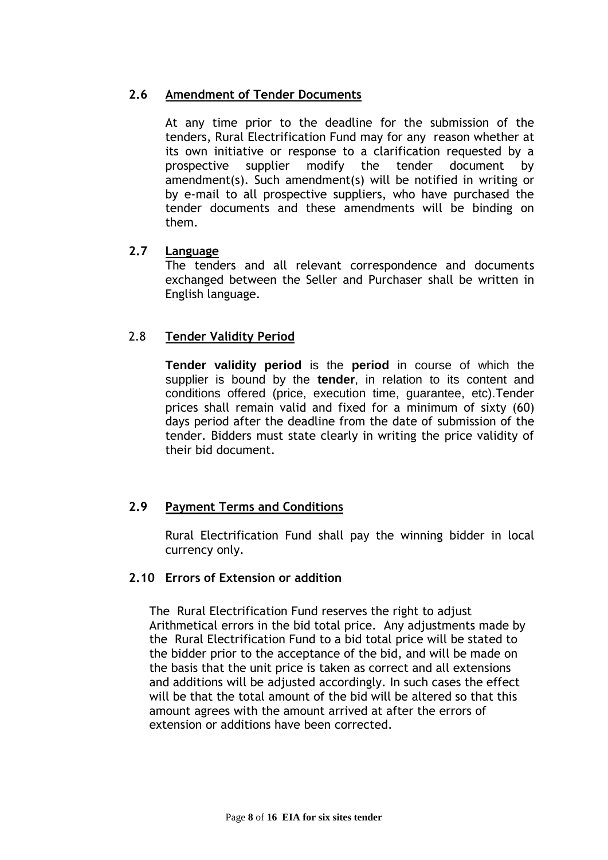#### **2.6 Amendment of Tender Documents**

At any time prior to the deadline for the submission of the tenders, Rural Electrification Fund may for any reason whether at its own initiative or response to a clarification requested by a prospective supplier modify the tender document by amendment(s). Such amendment(s) will be notified in writing or by e-mail to all prospective suppliers, who have purchased the tender documents and these amendments will be binding on them.

#### **2.7 Language**

The tenders and all relevant correspondence and documents exchanged between the Seller and Purchaser shall be written in English language.

#### 2.8 **Tender Validity Period**

**Tender validity period** is the **period** in course of which the supplier is bound by the **tender**, in relation to its content and conditions offered (price, execution time, guarantee, etc).Tender prices shall remain valid and fixed for a minimum of sixty (60) days period after the deadline from the date of submission of the tender. Bidders must state clearly in writing the price validity of their bid document.

## **2.9 Payment Terms and Conditions**

Rural Electrification Fund shall pay the winning bidder in local currency only.

#### **2.10 Errors of Extension or addition**

The Rural Electrification Fund reserves the right to adjust Arithmetical errors in the bid total price. Any adjustments made by the Rural Electrification Fund to a bid total price will be stated to the bidder prior to the acceptance of the bid, and will be made on the basis that the unit price is taken as correct and all extensions and additions will be adjusted accordingly. In such cases the effect will be that the total amount of the bid will be altered so that this amount agrees with the amount arrived at after the errors of extension or additions have been corrected.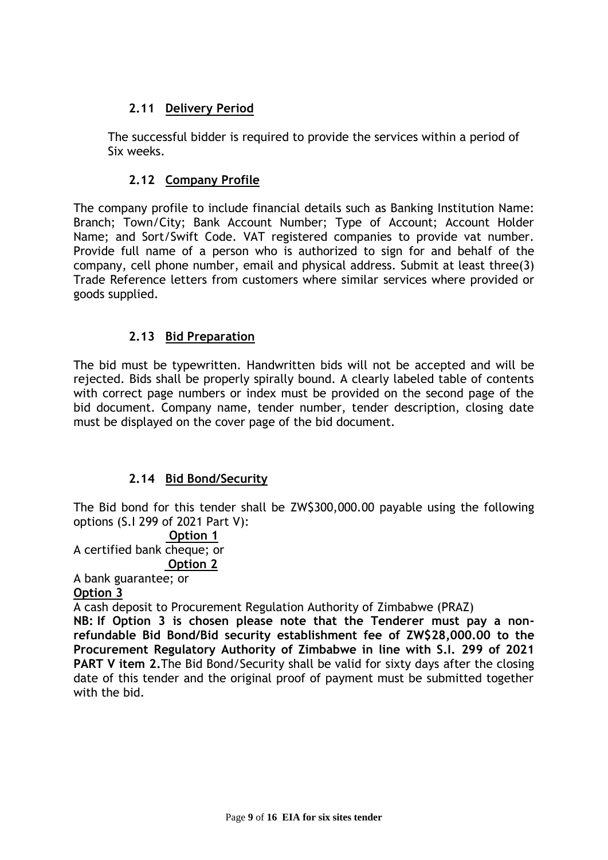## **2.11 Delivery Period**

The successful bidder is required to provide the services within a period of Six weeks.

## **2.12 Company Profile**

The company profile to include financial details such as Banking Institution Name: Branch; Town/City; Bank Account Number; Type of Account; Account Holder Name; and Sort/Swift Code. VAT registered companies to provide vat number. Provide full name of a person who is authorized to sign for and behalf of the company, cell phone number, email and physical address. Submit at least three(3) Trade Reference letters from customers where similar services where provided or goods supplied.

## **2.13 Bid Preparation**

The bid must be typewritten. Handwritten bids will not be accepted and will be rejected. Bids shall be properly spirally bound. A clearly labeled table of contents with correct page numbers or index must be provided on the second page of the bid document. Company name, tender number, tender description, closing date must be displayed on the cover page of the bid document.

## **2.14 Bid Bond/Security**

The Bid bond for this tender shall be ZW\$300,000.00 payable using the following options (S.I 299 of 2021 Part V):

#### **Option 1**

A certified bank cheque; or

#### **Option 2**

A bank guarantee; or **Option 3**

A cash deposit to Procurement Regulation Authority of Zimbabwe (PRAZ)

**NB: If Option 3 is chosen please note that the Tenderer must pay a nonrefundable Bid Bond/Bid security establishment fee of ZW\$28,000.00 to the Procurement Regulatory Authority of Zimbabwe in line with S.I. 299 of 2021 PART V item 2.**The Bid Bond/Security shall be valid for sixty days after the closing date of this tender and the original proof of payment must be submitted together with the bid.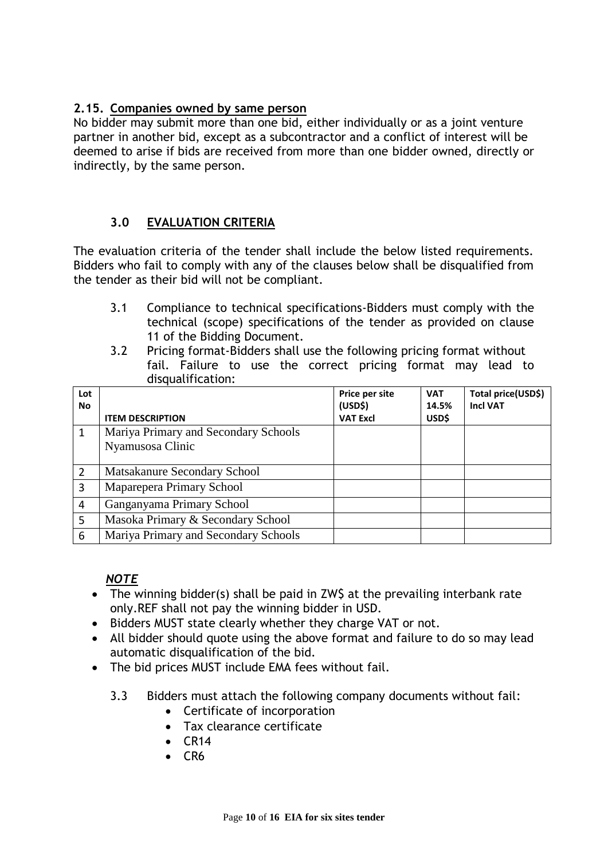## **2.15. Companies owned by same person**

No bidder may submit more than one bid, either individually or as a joint venture partner in another bid, except as a subcontractor and a conflict of interest will be deemed to arise if bids are received from more than one bidder owned, directly or indirectly, by the same person.

## **3.0 EVALUATION CRITERIA**

The evaluation criteria of the tender shall include the below listed requirements. Bidders who fail to comply with any of the clauses below shall be disqualified from the tender as their bid will not be compliant.

- 3.1 Compliance to technical specifications-Bidders must comply with the technical (scope) specifications of the tender as provided on clause 11 of the Bidding Document.
- 3.2 Pricing format-Bidders shall use the following pricing format without fail. Failure to use the correct pricing format may lead to disqualification:

| Lot<br><b>No</b> |                                      | Price per site<br>(USD <sup>2</sup> ) | <b>VAT</b><br>14.5% | Total price(USD\$)<br><b>Incl VAT</b> |
|------------------|--------------------------------------|---------------------------------------|---------------------|---------------------------------------|
|                  | <b>ITEM DESCRIPTION</b>              | <b>VAT Excl</b>                       | USD\$               |                                       |
| 1                | Mariya Primary and Secondary Schools |                                       |                     |                                       |
|                  | Nyamusosa Clinic                     |                                       |                     |                                       |
|                  |                                      |                                       |                     |                                       |
| $\overline{2}$   | Matsakanure Secondary School         |                                       |                     |                                       |
| 3                | Maparepera Primary School            |                                       |                     |                                       |
| 4                | Ganganyama Primary School            |                                       |                     |                                       |
| 5                | Masoka Primary & Secondary School    |                                       |                     |                                       |
| 6                | Mariya Primary and Secondary Schools |                                       |                     |                                       |

## *NOTE*

- The winning bidder(s) shall be paid in ZW\$ at the prevailing interbank rate only.REF shall not pay the winning bidder in USD.
- Bidders MUST state clearly whether they charge VAT or not.
- All bidder should quote using the above format and failure to do so may lead automatic disqualification of the bid.
- The bid prices MUST include EMA fees without fail.
	- 3.3 Bidders must attach the following company documents without fail:
		- Certificate of incorporation
		- Tax clearance certificate
		- $\bullet$  CR14
		- $-CR6$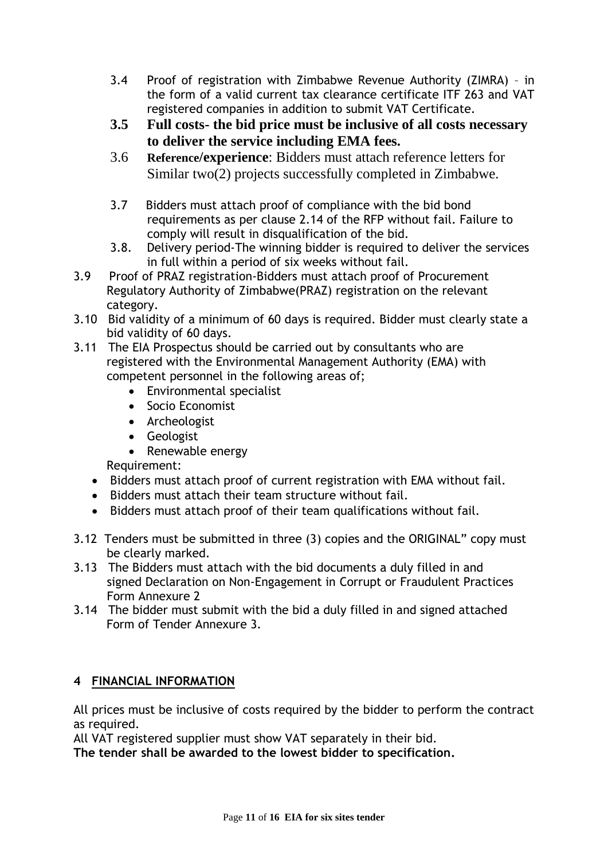- 3.4 Proof of registration with Zimbabwe Revenue Authority (ZIMRA) in the form of a valid current tax clearance certificate ITF 263 and VAT registered companies in addition to submit VAT Certificate.
- **3.5 Full costs- the bid price must be inclusive of all costs necessary to deliver the service including EMA fees.**
- 3.6 **Reference/experience**: Bidders must attach reference letters for Similar two(2) projects successfully completed in Zimbabwe.
- 3.7 Bidders must attach proof of compliance with the bid bond requirements as per clause 2.14 of the RFP without fail. Failure to comply will result in disqualification of the bid.
- 3.8. Delivery period-The winning bidder is required to deliver the services in full within a period of six weeks without fail.
- 3.9 Proof of PRAZ registration-Bidders must attach proof of Procurement Regulatory Authority of Zimbabwe(PRAZ) registration on the relevant category.
- 3.10 Bid validity of a minimum of 60 days is required. Bidder must clearly state a bid validity of 60 days.
- 3.11 The EIA Prospectus should be carried out by consultants who are registered with the Environmental Management Authority (EMA) with competent personnel in the following areas of;
	- Environmental specialist
	- Socio Economist
	- Archeologist
	- Geologist
	- Renewable energy

Requirement:

- Bidders must attach proof of current registration with EMA without fail.
- Bidders must attach their team structure without fail.
- Bidders must attach proof of their team qualifications without fail.
- 3.12 Tenders must be submitted in three (3) copies and the ORIGINAL" copy must be clearly marked.
- 3.13 The Bidders must attach with the bid documents a duly filled in and signed Declaration on Non-Engagement in Corrupt or Fraudulent Practices Form Annexure 2
- 3.14 The bidder must submit with the bid a duly filled in and signed attached Form of Tender Annexure 3.

## **4 FINANCIAL INFORMATION**

All prices must be inclusive of costs required by the bidder to perform the contract as required.

All VAT registered supplier must show VAT separately in their bid. **The tender shall be awarded to the lowest bidder to specification.**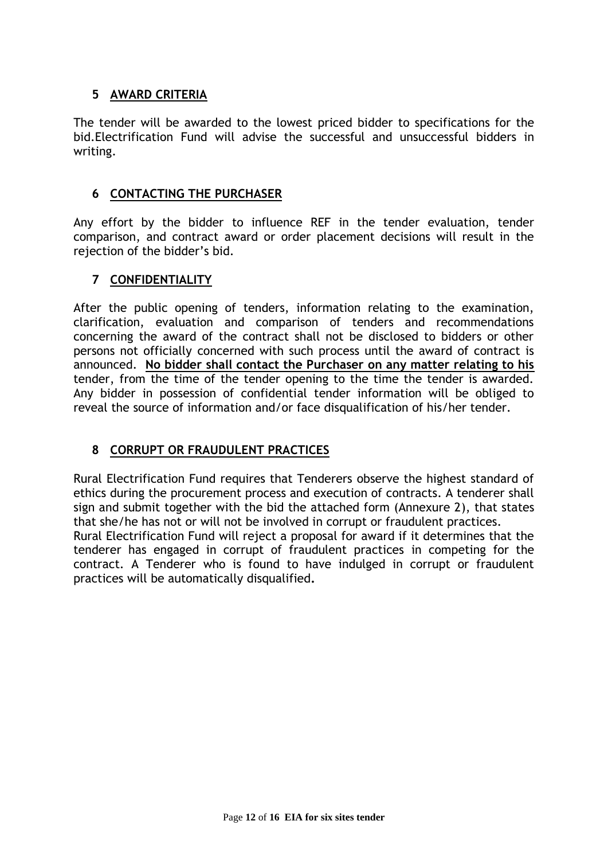## **5 AWARD CRITERIA**

The tender will be awarded to the lowest priced bidder to specifications for the bid.Electrification Fund will advise the successful and unsuccessful bidders in writing.

#### **6 CONTACTING THE PURCHASER**

Any effort by the bidder to influence REF in the tender evaluation, tender comparison, and contract award or order placement decisions will result in the rejection of the bidder's bid.

## **7 CONFIDENTIALITY**

After the public opening of tenders, information relating to the examination, clarification, evaluation and comparison of tenders and recommendations concerning the award of the contract shall not be disclosed to bidders or other persons not officially concerned with such process until the award of contract is announced. **No bidder shall contact the Purchaser on any matter relating to his** tender, from the time of the tender opening to the time the tender is awarded. Any bidder in possession of confidential tender information will be obliged to reveal the source of information and/or face disqualification of his/her tender.

## **8 CORRUPT OR FRAUDULENT PRACTICES**

Rural Electrification Fund requires that Tenderers observe the highest standard of ethics during the procurement process and execution of contracts. A tenderer shall sign and submit together with the bid the attached form (Annexure 2), that states that she/he has not or will not be involved in corrupt or fraudulent practices.

Rural Electrification Fund will reject a proposal for award if it determines that the tenderer has engaged in corrupt of fraudulent practices in competing for the contract. A Tenderer who is found to have indulged in corrupt or fraudulent practices will be automatically disqualified**.**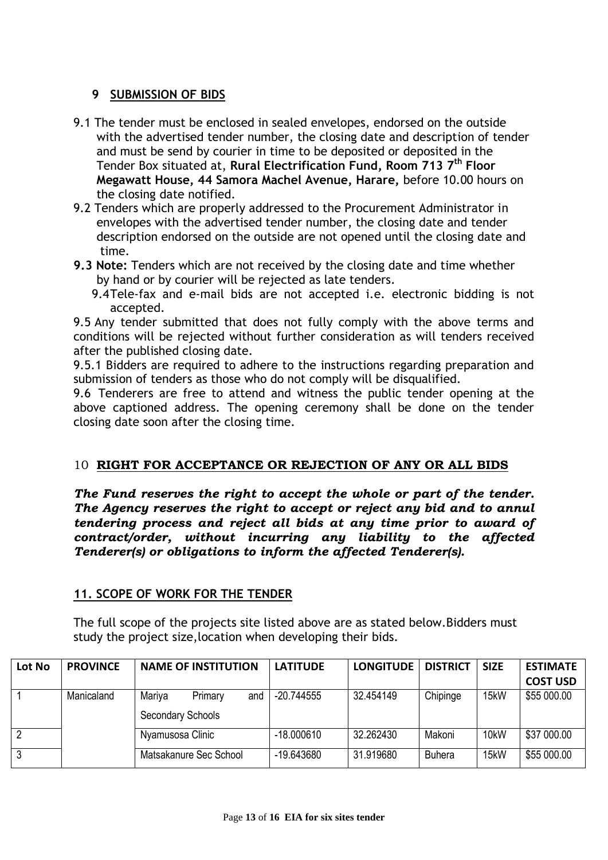#### **9 SUBMISSION OF BIDS**

- 9.1 The tender must be enclosed in sealed envelopes, endorsed on the outside with the advertised tender number, the closing date and description of tender and must be send by courier in time to be deposited or deposited in the Tender Box situated at, **Rural Electrification Fund, Room 713 7 th Floor Megawatt House, 44 Samora Machel Avenue, Harare,** before 10.00 hours on the closing date notified.
- 9.2 Tenders which are properly addressed to the Procurement Administrator in envelopes with the advertised tender number, the closing date and tender description endorsed on the outside are not opened until the closing date and time.
- **9.3 Note:** Tenders which are not received by the closing date and time whether by hand or by courier will be rejected as late tenders.
	- 9.4Tele-fax and e-mail bids are not accepted i.e. electronic bidding is not accepted.

9.5 Any tender submitted that does not fully comply with the above terms and conditions will be rejected without further consideration as will tenders received after the published closing date.

9.5.1 Bidders are required to adhere to the instructions regarding preparation and submission of tenders as those who do not comply will be disqualified.

9.6 Tenderers are free to attend and witness the public tender opening at the above captioned address. The opening ceremony shall be done on the tender closing date soon after the closing time.

#### 10 **RIGHT FOR ACCEPTANCE OR REJECTION OF ANY OR ALL BIDS**

*The Fund reserves the right to accept the whole or part of the tender. The Agency reserves the right to accept or reject any bid and to annul tendering process and reject all bids at any time prior to award of contract/order, without incurring any liability to the affected Tenderer(s) or obligations to inform the affected Tenderer(s).*

#### **11. SCOPE OF WORK FOR THE TENDER**

The full scope of the projects site listed above are as stated below.Bidders must study the project size,location when developing their bids.

| Lot No         | <b>PROVINCE</b> | <b>NAME OF INSTITUTION</b> | <b>LATITUDE</b> | <b>LONGITUDE</b> | <b>DISTRICT</b> | <b>SIZE</b>       | <b>ESTIMATE</b> |
|----------------|-----------------|----------------------------|-----------------|------------------|-----------------|-------------------|-----------------|
|                |                 |                            |                 |                  |                 |                   | <b>COST USD</b> |
|                | Manicaland      | Mariya<br>Primary<br>and   | $-20.744555$    | 32.454149        | Chipinge        | 15kW              | \$55 000.00     |
|                |                 | <b>Secondary Schools</b>   |                 |                  |                 |                   |                 |
| $\overline{2}$ |                 | Nyamusosa Clinic           | $-18.000610$    | 32.262430        | Makoni          | 10 <sub>k</sub> W | \$37 000.00     |
| 3              |                 | Matsakanure Sec School     | $-19.643680$    | 31.919680        | <b>Buhera</b>   | 15kW              | \$55 000.00     |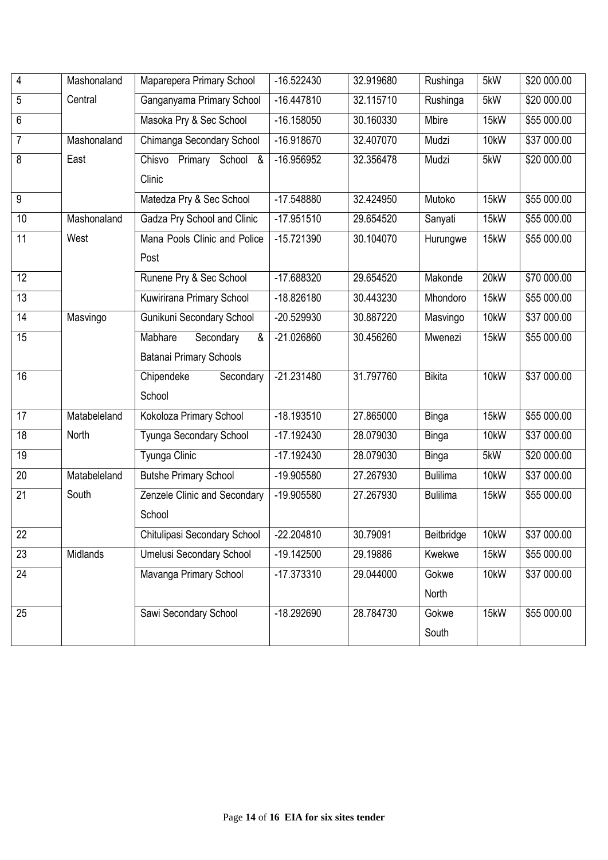| 4               | Mashonaland  | Maparepera Primary School      | $-16.522430$ | 32.919680 | Rushinga        | 5kW  | \$20 000.00 |
|-----------------|--------------|--------------------------------|--------------|-----------|-----------------|------|-------------|
| 5               | Central      | Ganganyama Primary School      | $-16.447810$ | 32.115710 | Rushinga        | 5kW  | \$20 000.00 |
| 6               |              | Masoka Pry & Sec School        | $-16.158050$ | 30.160330 | Mbire           | 15kW | \$55 000.00 |
| 7               | Mashonaland  | Chimanga Secondary School      | $-16.918670$ | 32.407070 | Mudzi           | 10kW | \$37 000.00 |
| 8               | East         | Primary School &<br>Chisvo     | $-16.956952$ | 32.356478 | Mudzi           | 5kW  | \$20 000.00 |
|                 |              | Clinic                         |              |           |                 |      |             |
| 9               |              | Matedza Pry & Sec School       | $-17.548880$ | 32.424950 | Mutoko          | 15kW | \$55 000.00 |
| 10              | Mashonaland  | Gadza Pry School and Clinic    | $-17.951510$ | 29.654520 | Sanyati         | 15kW | \$55 000.00 |
| 11              | West         | Mana Pools Clinic and Police   | $-15.721390$ | 30.104070 | Hurungwe        | 15kW | \$55 000.00 |
|                 |              | Post                           |              |           |                 |      |             |
| 12              |              | Runene Pry & Sec School        | $-17.688320$ | 29.654520 | Makonde         | 20kW | \$70 000.00 |
| 13              |              | Kuwirirana Primary School      | $-18.826180$ | 30.443230 | Mhondoro        | 15kW | \$55 000.00 |
| 14              | Masvingo     | Gunikuni Secondary School      | -20.529930   | 30.887220 | Masvingo        | 10kW | \$37 000.00 |
| 15              |              | Mabhare<br>Secondary<br>&      | $-21.026860$ | 30.456260 | Mwenezi         | 15kW | \$55 000.00 |
|                 |              | <b>Batanai Primary Schools</b> |              |           |                 |      |             |
| 16              |              | Chipendeke<br>Secondary        | $-21.231480$ | 31.797760 | <b>Bikita</b>   | 10kW | \$37 000.00 |
|                 |              | School                         |              |           |                 |      |             |
| 17              | Matabeleland | Kokoloza Primary School        | $-18.193510$ | 27.865000 | <b>Binga</b>    | 15kW | \$55 000.00 |
| 18              | North        | Tyunga Secondary School        | $-17.192430$ | 28.079030 | <b>Binga</b>    | 10kW | \$37 000.00 |
| 19              |              | Tyunga Clinic                  | $-17.192430$ | 28.079030 | <b>Binga</b>    | 5kW  | \$20 000.00 |
| 20              | Matabeleland | <b>Butshe Primary School</b>   | -19.905580   | 27.267930 | <b>Bulilima</b> | 10kW | \$37 000.00 |
| 21              | South        | Zenzele Clinic and Secondary   | -19.905580   | 27.267930 | <b>Bulilima</b> | 15kW | \$55 000.00 |
|                 |              | School                         |              |           |                 |      |             |
| $\overline{22}$ |              | Chitulipasi Secondary School   | $-22.204810$ | 30.79091  | Beitbridge      | 10kW | \$37 000.00 |
| 23              | Midlands     | Umelusi Secondary School       | $-19.142500$ | 29.19886  | Kwekwe          | 15kW | \$55 000.00 |
| 24              |              | Mavanga Primary School         | $-17.373310$ | 29.044000 | Gokwe           | 10kW | \$37 000.00 |
|                 |              |                                |              |           | North           |      |             |
| 25              |              | Sawi Secondary School          | $-18.292690$ | 28.784730 | Gokwe           | 15kW | \$55 000.00 |
|                 |              |                                |              |           | South           |      |             |
|                 |              |                                |              |           |                 |      |             |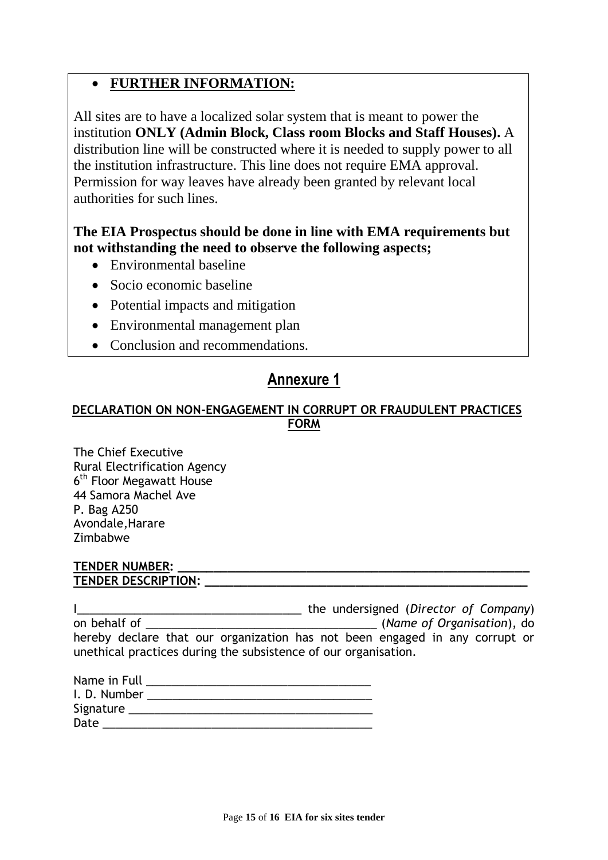## **FURTHER INFORMATION:**

All sites are to have a localized solar system that is meant to power the institution **ONLY (Admin Block, Class room Blocks and Staff Houses).** A distribution line will be constructed where it is needed to supply power to all the institution infrastructure. This line does not require EMA approval. Permission for way leaves have already been granted by relevant local authorities for such lines.

## **The EIA Prospectus should be done in line with EMA requirements but not withstanding the need to observe the following aspects;**

- Environmental baseline
- Socio economic baseline
- Potential impacts and mitigation
- Environmental management plan
- Conclusion and recommendations.

# **Annexure 1**

## **DECLARATION ON NON-ENGAGEMENT IN CORRUPT OR FRAUDULENT PRACTICES FORM**

The Chief Executive Rural Electrification Agency 6<sup>th</sup> Floor Megawatt House 44 Samora Machel Ave P. Bag A250 Avondale,Harare Zimbabwe

#### **TENDER NUMBER: \_\_\_\_\_\_\_\_\_\_\_\_\_\_\_\_\_\_\_\_\_\_\_\_\_\_\_\_\_\_\_\_\_\_\_\_\_\_\_\_\_\_\_\_\_\_\_\_\_ TENDER DESCRIPTION: \_\_\_\_\_\_\_\_\_\_\_\_\_\_\_\_\_\_\_\_\_\_\_\_\_\_\_\_\_\_\_\_\_\_\_\_\_\_\_\_\_\_\_\_\_**

I\_\_\_\_\_\_\_\_\_\_\_\_\_\_\_\_\_\_\_\_\_\_\_\_\_\_\_\_\_\_\_\_\_\_\_ the undersigned (*Director of Company*) on behalf of **the contract of the contract of the contract of the contract of Creanisation**), do hereby declare that our organization has not been engaged in any corrupt or unethical practices during the subsistence of our organisation.

| Name in Full |  |
|--------------|--|
| I. D. Number |  |
| Signature    |  |
| Date         |  |